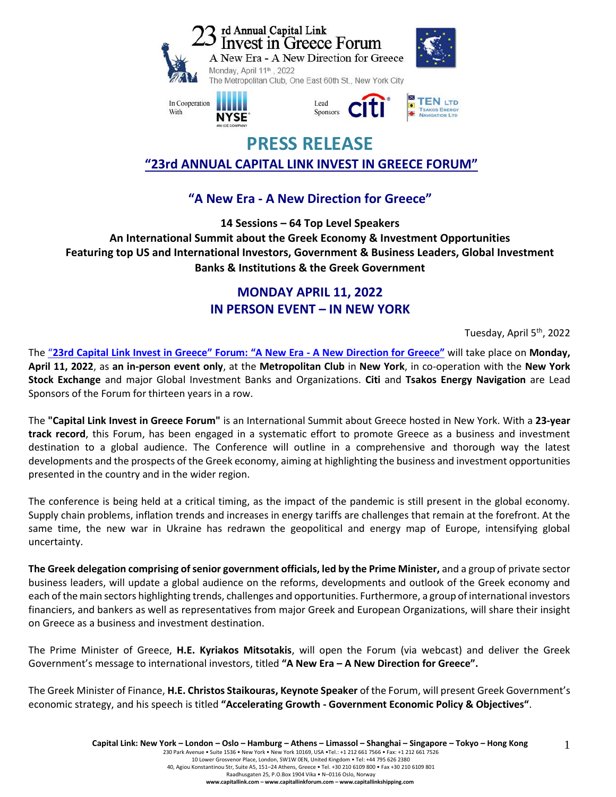







# **PRESS RELEASE "23rd ANNUAL CAPITAL LINK INVEST IN GREECE FORUM"**

## **"A New Era - A New Direction for Greece"**

**14 Sessions – 64 Top Level Speakers An International Summit about the Greek Economy & Investment Opportunities Featuring top US and International Investors, Government & Business Leaders, Global Investment Banks & Institutions & the Greek Government**

## **MONDAY APRIL 11, 2022 IN PERSON EVENT – IN NEW YORK**

Tuesday, April 5<sup>th</sup>, 2022

The "23rd Capital Link Invest in Greece" Forum: "A New Era - A New [Direction](https://forums.capitallink.com/greece/2021/) for Greece" will take place on Monday, **April 11, 2022**, as **an in-person event only**, at the **Metropolitan Club** in **New York**, in co-operation with the **New York Stock Exchange** and major Global Investment Banks and Organizations. **Citi** and **Tsakos Energy Navigation** are Lead Sponsors of the Forum for thirteen years in a row.

The **"Capital Link Invest in Greece Forum"** is an International Summit about Greece hosted in New York. With a **23-year track record**, this Forum, has been engaged in a systematic effort to promote Greece as a business and investment destination to a global audience. The Conference will outline in a comprehensive and thorough way the latest developments and the prospects of the Greek economy, aiming at highlighting the business and investment opportunities presented in the country and in the wider region.

The conference is being held at a critical timing, as the impact of the pandemic is still present in the global economy. Supply chain problems, inflation trends and increases in energy tariffs are challenges that remain at the forefront. At the same time, the new war in Ukraine has redrawn the geopolitical and energy map of Europe, intensifying global uncertainty.

**The Greek delegation comprising of senior government officials, led by the Prime Minister,** and a group of private sector business leaders, will update a global audience on the reforms, developments and outlook of the Greek economy and each of the main sectors highlighting trends, challenges and opportunities. Furthermore, a group of international investors financiers, and bankers as well as representatives from major Greek and European Organizations, will share their insight on Greece as a business and investment destination.

The Prime Minister of Greece, **H.E. Kyriakos Mitsotakis**, will open the Forum (via webcast) and deliver the Greek Government's message to international investors, titled **"A New Era – A New Direction for Greece".** 

The Greek Minister of Finance, **H.E. Christos Staikouras, Keynote Speaker** of the Forum, will present Greek Government's economic strategy, and his speech is titled **"Accelerating Growth - Government Economic Policy & Objectives"**.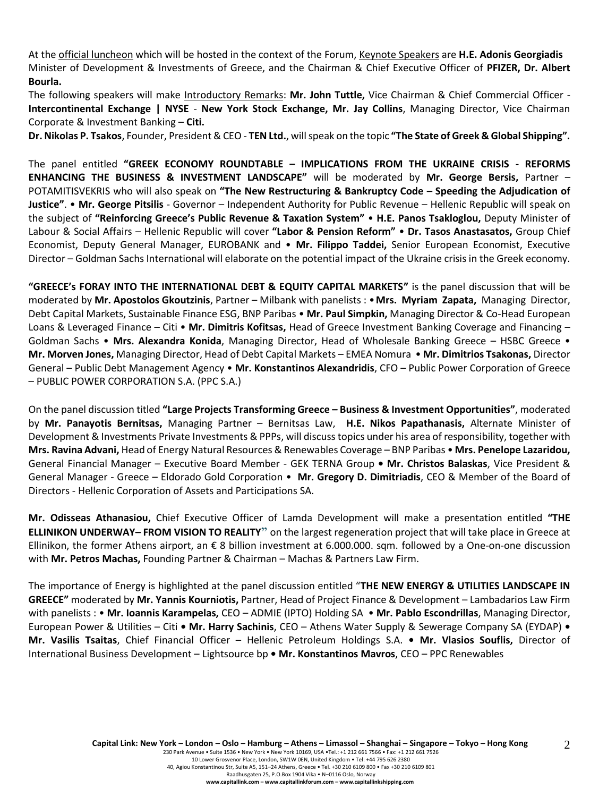At the official luncheon which will be hosted in the context of the Forum, Keynote Speakers are **H.E. Adonis Georgiadis** Minister of Development & Investments of Greece, and the Chairman & Chief Executive Officer of **PFIZER, Dr. Albert Bourla.**

The following speakers will make Introductory Remarks: **Mr. John Tuttle,** Vice Chairman & Chief Commercial Officer - **Intercontinental Exchange | NYSE** - **New York Stock Exchange, Mr. Jay Collins**, Managing Director, Vice Chairman Corporate & Investment Banking – **Citi.**

**Dr. Nikolas P. Tsakos**, Founder, President & CEO - **TEN Ltd.**, will speak on the topic **"The State of Greek & Global Shipping".**

The panel entitled **"GREEK ECONOMY ROUNDTABLE – IMPLICATIONS FROM THE UKRAINE CRISIS - REFORMS ENHANCING THE BUSINESS & INVESTMENT LANDSCAPE"** will be moderated by **Mr. George Bersis,** Partner – POTAMITISVEKRIS who will also speak on **"The New Restructuring & Bankruptcy Code – Speeding the Adjudication of Justice"**. • **Mr. George Pitsilis** - Governor – Independent Authority for Public Revenue – Hellenic Republic will speak on the subject of **"Reinforcing Greece's Public Revenue & Taxation System"** • **H.E. Panos Tsakloglou,** Deputy Minister of Labour & Social Affairs – Hellenic Republic will cover **"Labor & Pension Reform"** • **Dr. Tasos Anastasatos,** Group Chief Economist, Deputy General Manager, EUROBANK and • **Mr. Filippo Taddei,** Senior European Economist, Executive Director – Goldman Sachs International will elaborate on the potential impact of the Ukraine crisis in the Greek economy.

**"GREECE's FORAY INTO THE INTERNATIONAL DEBT & EQUITY CAPITAL MARKETS"** is the panel discussion that will be moderated by **Mr. Apostolos Gkoutzinis**, Partner – Milbank with panelists : •**Mrs. Myriam Zapata,** Managing Director, Debt Capital Markets, Sustainable Finance ESG, BNP Paribas • **Mr. Paul Simpkin,** Managing Director & Co-Head European Loans & Leveraged Finance – Citi • **Mr. Dimitris Kofitsas,** Head of Greece Investment Banking Coverage and Financing – Goldman Sachs • **Mrs. Alexandra Konida**, Managing Director, Head of Wholesale Banking Greece – HSBC Greece • **Mr. Morven Jones,** Managing Director, Head of Debt Capital Markets – EMEA Nomura • **Mr. Dimitrios Tsakonas,** Director General – Public Debt Management Agency • **Mr. Konstantinos Alexandridis**, CFO – Public Power Corporation of Greece – PUBLIC POWER CORPORATION S.A. (PPC S.A.)

On the panel discussion titled **"Large Projects Transforming Greece – Business & Investment Opportunities"**, moderated by **Mr. Panayotis Bernitsas,** Managing Partner – Bernitsas Law, **H.E. Nikos Papathanasis,** Alternate Minister of Development & Investments Private Investments & PPPs, will discuss topics under his area of responsibility, together with **Mrs. Ravina Advani,** Head of Energy Natural Resources & Renewables Coverage – BNP Paribas • **Mrs. Penelope Lazaridou,** General Financial Manager – Executive Board Member - GEK TERNA Group **• Mr. Christos Balaskas**, Vice President & General Manager - Greece – Eldorado Gold Corporation • **Mr. Gregory D. Dimitriadis**, CEO & Member of the Board of Directors - Hellenic Corporation of Assets and Participations SA.

**Mr. Odisseas Athanasiou,** Chief Executive Officer of Lamda Development will make a presentation entitled **"THE ELLINIKON UNDERWAY– FROM VISION TO REALITY"** on the largest regeneration project that will take place in Greece at Ellinikon, the former Athens airport, an € 8 billion investment at 6.000.000. sqm. followed by a One-on-one discussion with **Mr. Petros Machas,** Founding Partner & Chairman – Machas & Partners Law Firm.

The importance of Energy is highlighted at the panel discussion entitled "**THE NEW ENERGY & UTILITIES LANDSCAPE IN GREECE"** moderated by **Mr. Yannis Kourniotis,** Partner, Head of Project Finance & Development – Lambadarios Law Firm with panelists : • **Mr. Ioannis Karampelas,** CEO – ADMIE (IPTO) Holding SA • **Mr. Pablo Escondrillas**, Managing Director, European Power & Utilities – Citi **• Mr. Harry Sachinis**, CEO – Athens Water Supply & Sewerage Company SA (EYDAP) **• Mr. Vasilis Tsaitas**, Chief Financial Officer – Hellenic Petroleum Holdings S.A. **• Mr. Vlasios Souflis,** Director of International Business Development – Lightsource bp **• Mr. Konstantinos Mavros**, CEO – PPC Renewables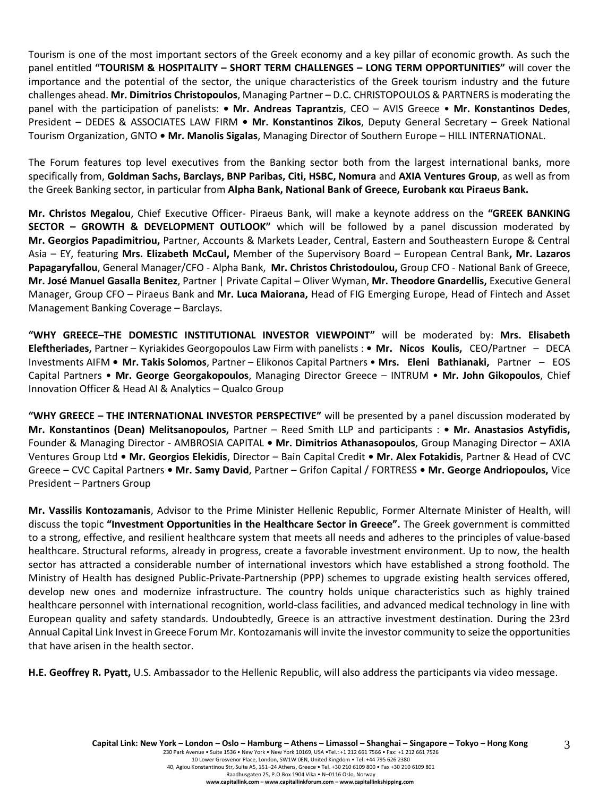Tourism is one of the most important sectors of the Greek economy and a key pillar of economic growth. As such the panel entitled **"TOURISM & HOSPITALITY – SHORT TERM CHALLENGES – LONG TERM OPPORTUNITIES"** will cover the importance and the potential of the sector, the unique characteristics of the Greek tourism industry and the future challenges ahead. **Mr. Dimitrios Christopoulos**, Managing Partner – D.C. CHRISTOPOULOS & PARTNERS is moderating the panel with the participation of panelists: **• Mr. Andreas Taprantzis**, CEO – AVIS Greece • **Mr. Konstantinos Dedes**, President – DEDES & ASSOCIATES LAW FIRM **• Mr. Konstantinos Zikos**, Deputy General Secretary – Greek National Tourism Organization, GNTO **• Mr. Manolis Sigalas**, Managing Director of Southern Europe – HILL INTERNATIONAL.

The Forum features top level executives from the Banking sector both from the largest international banks, more specifically from, **Goldman Sachs, Barclays, BNP Paribas, Citi, HSBC, Nomura** and **AXIA Ventures Group**, as well as from the Greek Banking sector, in particular from **Alpha Bank, National Bank of Greece, Eurobank και Piraeus Bank.**

**Mr. Christos Megalou**, Chief Executive Officer- Piraeus Bank, will make a keynote address on the **"GREEK BANKING SECTOR – GROWTH & DEVELOPMENT OUTLOOK"** which will be followed by a panel discussion moderated by **Mr. Georgios Papadimitriou,** Partner, Accounts & Markets Leader, Central, Eastern and Southeastern Europe & Central Asia – EY, featuring **Mrs. Elizabeth McCaul,** Member of the Supervisory Board – European Central Bank**, Mr. Lazaros Papagaryfallou**, General Manager/CFO - Alpha Bank, **Mr. Christos Christodoulou,** Group CFO - National Bank of Greece, **Mr. José Manuel Gasalla Benitez**, Partner | Private Capital – Oliver Wyman, **Mr. Theodore Gnardellis,** Executive General Manager, Group CFO – Piraeus Bank and **Mr. Luca Maiorana,** Head of FIG Emerging Europe, Head of Fintech and Asset Management Banking Coverage – Barclays.

**"WHY GREECE–THE DOMESTIC INSTITUTIONAL INVESTOR VIEWPOINT"** will be moderated by: **Mrs. Elisabeth Eleftheriades,** Partner – Kyriakides Georgopoulos Law Firm with panelists : **• Mr. Nicos Koulis,** CEO/Partner – DECA Investments AIFM **• Mr. Takis Solomos**, Partner – Elikonos Capital Partners • **Mrs. Eleni Bathianaki,** Partner – EOS Capital Partners • **Mr. George Georgakopoulos**, Managing Director Greece – INTRUM • **Mr. John Gikopoulos**, Chief Innovation Officer & Head AI & Analytics – Qualco Group

**"WHY GREECE – THE INTERNATIONAL INVESTOR PERSPECTIVE"** will be presented by a panel discussion moderated by **Mr. Konstantinos (Dean) Melitsanopoulos,** Partner – Reed Smith LLP and participants : **• Mr. Anastasios Astyfidis,** Founder & Managing Director - AMBROSIA CAPITAL **• Mr. Dimitrios Athanasopoulos**, Group Managing Director – AXIA Ventures Group Ltd **• Mr. Georgios Elekidis**, Director – Bain Capital Credit **• Mr. Alex Fotakidis**, Partner & Head of CVC Greece – CVC Capital Partners **• Mr. Samy David**, Partner – Grifon Capital / FORTRESS **• Mr. George Andriopoulos,** Vice President – Partners Group

**Mr. Vassilis Kontozamanis**, Advisor to the Prime Minister Hellenic Republic, Former Alternate Minister of Health, will discuss the topic **"Investment Opportunities in the Healthcare Sector in Greece".** The Greek government is committed to a strong, effective, and resilient healthcare system that meets all needs and adheres to the principles of value-based healthcare. Structural reforms, already in progress, create a favorable investment environment. Up to now, the health sector has attracted a considerable number of international investors which have established a strong foothold. The Ministry of Health has designed Public-Private-Partnership (PPP) schemes to upgrade existing health services offered, develop new ones and modernize infrastructure. The country holds unique characteristics such as highly trained healthcare personnel with international recognition, world-class facilities, and advanced medical technology in line with European quality and safety standards. Undoubtedly, Greece is an attractive investment destination. During the 23rd Annual Capital Link Invest in Greece Forum Mr. Kontozamanis will invite the investor community to seize the opportunities that have arisen in the health sector.

**H.E. Geoffrey R. Pyatt,** U.S. Ambassador to the Hellenic Republic, will also address the participants via video message.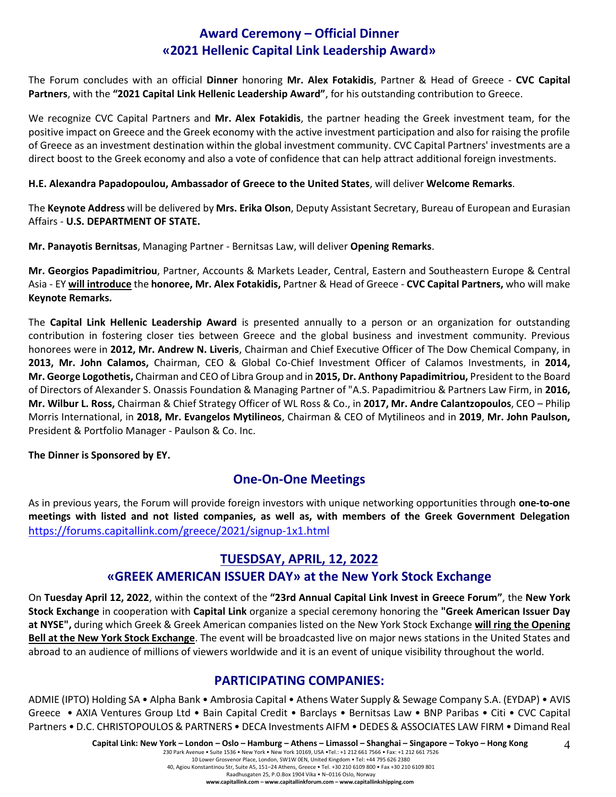## **Award Ceremony – Official Dinner «2021 Hellenic Capital Link Leadership Award»**

The Forum concludes with an official **Dinner** honoring **Mr. Alex Fotakidis**, Partner & Head of Greece - **CVC Capital Partners**, with the **"2021 Capital Link Hellenic Leadership Award"**, for his outstanding contribution to Greece.

We recognize CVC Capital Partners and **Mr. Alex Fotakidis**, the partner heading the Greek investment team, for the positive impact on Greece and the Greek economy with the active investment participation and also for raising the profile of Greece as an investment destination within the global investment community. CVC Capital Partners' investments are a direct boost to the Greek economy and also a vote of confidence that can help attract additional foreign investments.

#### **H.E. Alexandra Papadopoulou, Ambassador of Greece to the United States**, will deliver **Welcome Remarks**.

The **Keynote Address** will be delivered by **Mrs. Erika Olson**, Deputy Assistant Secretary, Bureau of European and Eurasian Affairs - **U.S. DEPARTMENT OF STATE.**

**Mr. Panayotis Bernitsas**, Managing Partner - Bernitsas Law, will deliver **Opening Remarks**.

**Mr. Georgios Papadimitriou**, Partner, Accounts & Markets Leader, Central, Eastern and Southeastern Europe & Central Asia - EY **will introduce** the **honoree, Mr. Alex Fotakidis,** Partner & Head of Greece - **CVC Capital Partners,** who will make **Keynote Remarks.** 

The **Capital Link Hellenic Leadership Award** is presented annually to a person or an organization for outstanding contribution in fostering closer ties between Greece and the global business and investment community. Previous honorees were in **2012, Mr. Andrew N. Liveris**, Chairman and Chief Executive Officer of The Dow Chemical Company, in **2013, Mr. John Calamos,** Chairman, CEO & Global Co-Chief Investment Officer of Calamos Investments, in **2014, Mr. George Logothetis,** Chairman and CEO of Libra Group and in **2015, Dr. Anthony Papadimitriou,** President to the Board of Directors of Alexander S. Onassis Foundation & Managing Partner of "A.S. Papadimitriou & Partners Law Firm, in **2016, Mr. Wilbur L. Ross,** Chairman & Chief Strategy Officer of WL Ross & Co., in **2017, Mr. Andre Calantzopoulos**, CEO – Philip Morris International, in **2018, Mr. Evangelos Mytilineos**, Chairman & CEO of Mytilineos and in **2019**, **Mr. John Paulson,**  President & Portfolio Manager - Paulson & Co. Inc.

**The Dinner is Sponsored by ΕΥ.**

## **One-On-One Meetings**

As in previous years, the Forum will provide foreign investors with unique networking opportunities through **one-to-one meetings with listed and not listed companies, as well as, with members of the Greek Government Delegation**  <https://forums.capitallink.com/greece/2021/signup-1x1.html>

### **TUESDSAY, APRIL, 12, 2022**

### **«GREEK AMERICAN ISSUER DAY» at the New York Stock Exchange**

On **Tuesday April 12, 2022**, within the context of the **"23rd Annual Capital Link Invest in Greece Forum"**, the **New York Stock Exchange** in cooperation with **Capital Link** organize a special ceremony honoring the **"Greek American Issuer Day at NYSE",** during which Greek & Greek American companies listed on the New York Stock Exchange **will ring the Opening Bell at the New York Stock Exchange**. The event will be broadcasted live on major news stations in the United States and abroad to an audience of millions of viewers worldwide and it is an event of unique visibility throughout the world.

### **PARTICIPATING COMPANIES:**

ADMIE (IPTO) Holding SA • Alpha Bank • Ambrosia Capital • Athens Water Supply & Sewage Company S.A. (EYDAP) • AVIS Greece • AXIA Ventures Group Ltd • Bain Capital Credit • Barclays • Bernitsas Law • BNP Paribas • Citi • CVC Capital Partners • D.C. CHRISTOPOULOS & PARTNERS • DECA Investments AIFM • DEDES & ASSOCIATES LAW FIRM • Dimand Real

4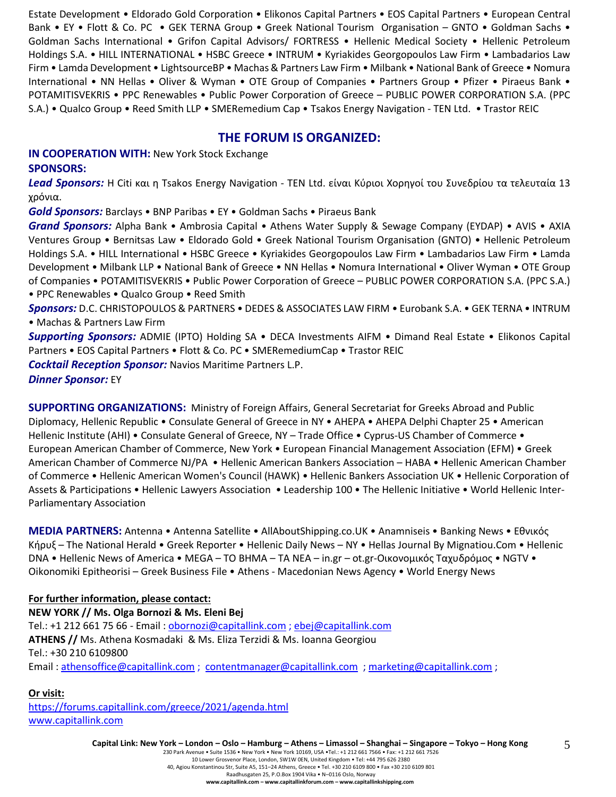Estate Development • Eldorado Gold Corporation • Elikonos Capital Partners • EOS Capital Partners • European Central Bank • EY • Flott & Co. PC • GEK TERNA Group • Greek National Tourism Organisation – GNTO • Goldman Sachs • Goldman Sachs International • Grifon Capital Advisors/ FORTRESS • Hellenic Medical Society • Hellenic Petroleum Holdings S.A. • HILL INTERNATIONAL • HSBC Greece • INTRUM • Kyriakides Georgopoulos Law Firm • Lambadarios Law Firm • Lamda Development • LightsourceBP • Machas & Partners Law Firm • Milbank • National Bank of Greece • Nomura International • NN Hellas • Oliver & Wyman • OTE Group of Companies • Partners Group • Pfizer • Piraeus Bank • POTAMITISVEKRIS • PPC Renewables • Public Power Corporation of Greece – PUBLIC POWER CORPORATION S.A. (PPC S.A.) • Qualco Group • Reed Smith LLP • SMERemedium Cap • Tsakos Energy Navigation - TEN Ltd. • Trastor REIC

#### **THE FORUM IS ORGANIZED:**

**IN COOPERATION WITH:** New York Stock Exchange **SPONSORS:**

*Lead Sponsors:* Η Citi και η Tsakos Energy Navigation - TEN Ltd. είναι Κύριοι Χορηγοί του Συνεδρίου τα τελευταία 13 χρόνια.

*Gold Sponsors:* Barclays • BNP Paribas • EY • Goldman Sachs • Piraeus Bank

*Grand Sponsors:* Alpha Bank • Ambrosia Capital • Athens Water Supply & Sewage Company (EYDAP) • AVIS • AXIA Ventures Group • Bernitsas Law • Eldorado Gold • Greek National Tourism Organisation (GNTO) • Hellenic Petroleum Holdings S.A. • HILL International • HSBC Greece • Kyriakides Georgopoulos Law Firm • Lambadarios Law Firm • Lamda Development • Milbank LLP • National Bank of Greece • NN Hellas • Nomura International • Oliver Wyman • OTE Group of Companies • POTAMITISVEKRIS • Public Power Corporation of Greece – PUBLIC POWER CORPORATION S.A. (PPC S.A.) • PPC Renewables • Qualco Group • Reed Smith

*Sponsors:* D.C. CHRISTOPOULOS & PARTNERS • DEDES & ASSOCIATES LAW FIRM • Eurobank S.A. • GEK TERNA • INTRUM • Machas & Partners Law Firm

*Supporting Sponsors:* ADMIE (IPTO) Holding SA • DECA Investments AIFM • Dimand Real Estate • Elikonos Capital Partners • EOS Capital Partners • Flott & Co. PC • SMERemediumCap • Trastor REIC

*Cocktail Reception Sponsor:* Navios Maritime Partners L.P.

*Dinner Sponsor:* EY

**SUPPORTING ORGANIZATIONS:** Ministry of Foreign Affairs, General Secretariat for Greeks Abroad and Public Diplomacy, Hellenic Republic • Consulate General of Greece in NY • AHEPA • AHEPA Delphi Chapter 25 • American Hellenic Institute (AHI) • Consulate General of Greece, NY – Trade Office • Cyprus-US Chamber of Commerce • European American Chamber of Commerce, New York • European Financial Management Association (EFM) • Greek American Chamber of Commerce NJ/PA • Hellenic American Bankers Association – HABA • Hellenic American Chamber of Commerce • Hellenic American Women's Council (HAWK) • Hellenic Bankers Association UK • Hellenic Corporation of Assets & Participations • Hellenic Lawyers Association • Leadership 100 • The Hellenic Initiative • World Hellenic Inter-Parliamentary Association

**MEDIA PARTNERS:** Antenna • Antenna Satellite • AllAboutShipping.co.UK • Anamniseis • Banking News • Εθνικός Κήρυξ – The National Herald • Greek Reporter • Hellenic Daily News – NY • Hellas Journal By Mignatiou.Com • Hellenic DNA • Hellenic News of America • MEGA – TO BHMA – TA NEA – in.gr – ot.gr-Οικονομικός Ταχυδρόμος • NGTV • Oikonomiki Epitheorisi – Greek Business File • Athens - Macedonian News Agency • World Energy News

#### **For further information, please contact: NEW YORK // Ms. Olga Bornozi & Ms. Eleni Bej**  Tel.: +1 212 661 75 66 - Email: [obornozi@capitallink.com](mailto:obornozi@capitallink.com) [; ebej@capitallink.com](mailto:ebej@capitallink.com) **ATHENS //** Ms. Athena Kosmadaki & Ms. Eliza Terzidi & Ms. Ioanna Georgiou Tel.: +30 210 6109800 Email [: athensoffice@capitallink.com](mailto:athensoffice@capitallink.com) ; [contentmanager@capitallink.com](mailto:contentmanager@capitallink.com) ; marketing@capitallink.com ;

#### **Or visit:**

<https://forums.capitallink.com/greece/2021/agenda.html> [www.capitallink.com](http://www.capitallink.com/) 

Capital Link: New York - London - Oslo - Hamburg - Athens - Limassol - Shanghai - Singapore - Tokyo - Hong Kong

5

230 Park Avenue • Suite 1536 • New York • New York 10169, USA •Tel.: +1 212 661 7566 • Fax: +1 212 661 7526 10 Lower Grosvenor Place, London, SW1W 0EN, United Kingdom • Tel: +44 795 626 2380 40, Agiou Konstantinou Str, Suite A5, 151–24 Athens, Greece • Tel. +30 210 6109 800 • Fax +30 210 6109 801 Raadhusgaten 25, P.O.Box 1904 Vika • N–0116 Oslo, Norway **www.capitallink.com – www.capitallinkforum.com – www.capitallinkshipping.com**